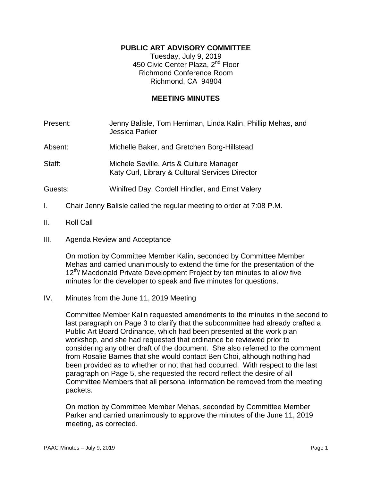# **PUBLIC ART ADVISORY COMMITTEE**

Tuesday, July 9, 2019 450 Civic Center Plaza, 2<sup>nd</sup> Floor Richmond Conference Room Richmond, CA 94804

### **MEETING MINUTES**

| Present: | Jenny Balisle, Tom Herriman, Linda Kalin, Phillip Mehas, and<br><b>Jessica Parker</b>      |
|----------|--------------------------------------------------------------------------------------------|
| Absent:  | Michelle Baker, and Gretchen Borg-Hillstead                                                |
| Staff:   | Michele Seville, Arts & Culture Manager<br>Katy Curl, Library & Cultural Services Director |
| Guests:  | Winifred Day, Cordell Hindler, and Ernst Valery                                            |
|          | Chair Jenny Balisle called the regular meeting to order at 7:08 P.M.                       |

- II. Roll Call
- III. Agenda Review and Acceptance

On motion by Committee Member Kalin, seconded by Committee Member Mehas and carried unanimously to extend the time for the presentation of the 12<sup>th</sup>/ Macdonald Private Development Project by ten minutes to allow five minutes for the developer to speak and five minutes for questions.

## IV. Minutes from the June 11, 2019 Meeting

Committee Member Kalin requested amendments to the minutes in the second to last paragraph on Page 3 to clarify that the subcommittee had already crafted a Public Art Board Ordinance, which had been presented at the work plan workshop, and she had requested that ordinance be reviewed prior to considering any other draft of the document. She also referred to the comment from Rosalie Barnes that she would contact Ben Choi, although nothing had been provided as to whether or not that had occurred. With respect to the last paragraph on Page 5, she requested the record reflect the desire of all Committee Members that all personal information be removed from the meeting packets.

On motion by Committee Member Mehas, seconded by Committee Member Parker and carried unanimously to approve the minutes of the June 11, 2019 meeting, as corrected.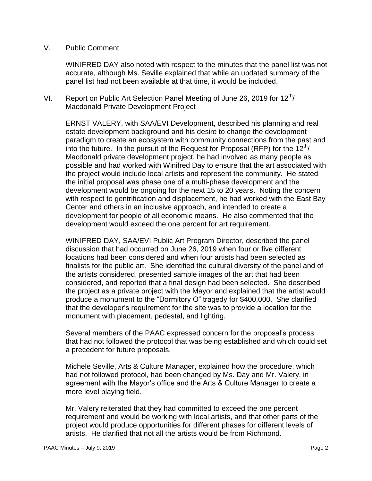## V. Public Comment

WINIFRED DAY also noted with respect to the minutes that the panel list was not accurate, although Ms. Seville explained that while an updated summary of the panel list had not been available at that time, it would be included.

VI. Report on Public Art Selection Panel Meeting of June 26, 2019 for  $12^{th}$ / Macdonald Private Development Project

ERNST VALERY, with SAA/EVI Development, described his planning and real estate development background and his desire to change the development paradigm to create an ecosystem with community connections from the past and into the future. In the pursuit of the Request for Proposal (RFP) for the  $12<sup>th</sup>$ Macdonald private development project, he had involved as many people as possible and had worked with Winifred Day to ensure that the art associated with the project would include local artists and represent the community. He stated the initial proposal was phase one of a multi-phase development and the development would be ongoing for the next 15 to 20 years. Noting the concern with respect to gentrification and displacement, he had worked with the East Bay Center and others in an inclusive approach, and intended to create a development for people of all economic means. He also commented that the development would exceed the one percent for art requirement.

WINIFRED DAY, SAA/EVI Public Art Program Director, described the panel discussion that had occurred on June 26, 2019 when four or five different locations had been considered and when four artists had been selected as finalists for the public art. She identified the cultural diversity of the panel and of the artists considered, presented sample images of the art that had been considered, and reported that a final design had been selected. She described the project as a private project with the Mayor and explained that the artist would produce a monument to the "Dormitory O" tragedy for \$400,000. She clarified that the developer's requirement for the site was to provide a location for the monument with placement, pedestal, and lighting.

Several members of the PAAC expressed concern for the proposal's process that had not followed the protocol that was being established and which could set a precedent for future proposals.

Michele Seville, Arts & Culture Manager, explained how the procedure, which had not followed protocol, had been changed by Ms. Day and Mr. Valery, in agreement with the Mayor's office and the Arts & Culture Manager to create a more level playing field.

Mr. Valery reiterated that they had committed to exceed the one percent requirement and would be working with local artists, and that other parts of the project would produce opportunities for different phases for different levels of artists. He clarified that not all the artists would be from Richmond.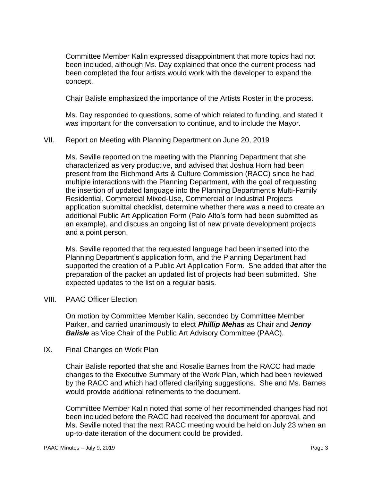Committee Member Kalin expressed disappointment that more topics had not been included, although Ms. Day explained that once the current process had been completed the four artists would work with the developer to expand the concept.

Chair Balisle emphasized the importance of the Artists Roster in the process.

Ms. Day responded to questions, some of which related to funding, and stated it was important for the conversation to continue, and to include the Mayor.

## VII. Report on Meeting with Planning Department on June 20, 2019

Ms. Seville reported on the meeting with the Planning Department that she characterized as very productive, and advised that Joshua Horn had been present from the Richmond Arts & Culture Commission (RACC) since he had multiple interactions with the Planning Department, with the goal of requesting the insertion of updated language into the Planning Department's Multi-Family Residential, Commercial Mixed-Use, Commercial or Industrial Projects application submittal checklist, determine whether there was a need to create an additional Public Art Application Form (Palo Alto's form had been submitted as an example), and discuss an ongoing list of new private development projects and a point person.

Ms. Seville reported that the requested language had been inserted into the Planning Department's application form, and the Planning Department had supported the creation of a Public Art Application Form. She added that after the preparation of the packet an updated list of projects had been submitted. She expected updates to the list on a regular basis.

### VIII. PAAC Officer Election

On motion by Committee Member Kalin, seconded by Committee Member Parker, and carried unanimously to elect *Phillip Mehas* as Chair and *Jenny Balisle* as Vice Chair of the Public Art Advisory Committee (PAAC).

### IX. Final Changes on Work Plan

Chair Balisle reported that she and Rosalie Barnes from the RACC had made changes to the Executive Summary of the Work Plan, which had been reviewed by the RACC and which had offered clarifying suggestions. She and Ms. Barnes would provide additional refinements to the document.

Committee Member Kalin noted that some of her recommended changes had not been included before the RACC had received the document for approval, and Ms. Seville noted that the next RACC meeting would be held on July 23 when an up-to-date iteration of the document could be provided.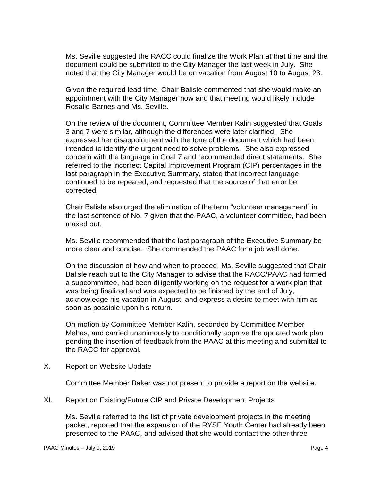Ms. Seville suggested the RACC could finalize the Work Plan at that time and the document could be submitted to the City Manager the last week in July. She noted that the City Manager would be on vacation from August 10 to August 23.

Given the required lead time, Chair Balisle commented that she would make an appointment with the City Manager now and that meeting would likely include Rosalie Barnes and Ms. Seville.

On the review of the document, Committee Member Kalin suggested that Goals 3 and 7 were similar, although the differences were later clarified. She expressed her disappointment with the tone of the document which had been intended to identify the urgent need to solve problems. She also expressed concern with the language in Goal 7 and recommended direct statements. She referred to the incorrect Capital Improvement Program (CIP) percentages in the last paragraph in the Executive Summary, stated that incorrect language continued to be repeated, and requested that the source of that error be corrected.

Chair Balisle also urged the elimination of the term "volunteer management" in the last sentence of No. 7 given that the PAAC, a volunteer committee, had been maxed out.

Ms. Seville recommended that the last paragraph of the Executive Summary be more clear and concise. She commended the PAAC for a job well done.

On the discussion of how and when to proceed, Ms. Seville suggested that Chair Balisle reach out to the City Manager to advise that the RACC/PAAC had formed a subcommittee, had been diligently working on the request for a work plan that was being finalized and was expected to be finished by the end of July, acknowledge his vacation in August, and express a desire to meet with him as soon as possible upon his return.

On motion by Committee Member Kalin, seconded by Committee Member Mehas, and carried unanimously to conditionally approve the updated work plan pending the insertion of feedback from the PAAC at this meeting and submittal to the RACC for approval.

X. Report on Website Update

Committee Member Baker was not present to provide a report on the website.

XI. Report on Existing/Future CIP and Private Development Projects

Ms. Seville referred to the list of private development projects in the meeting packet, reported that the expansion of the RYSE Youth Center had already been presented to the PAAC, and advised that she would contact the other three